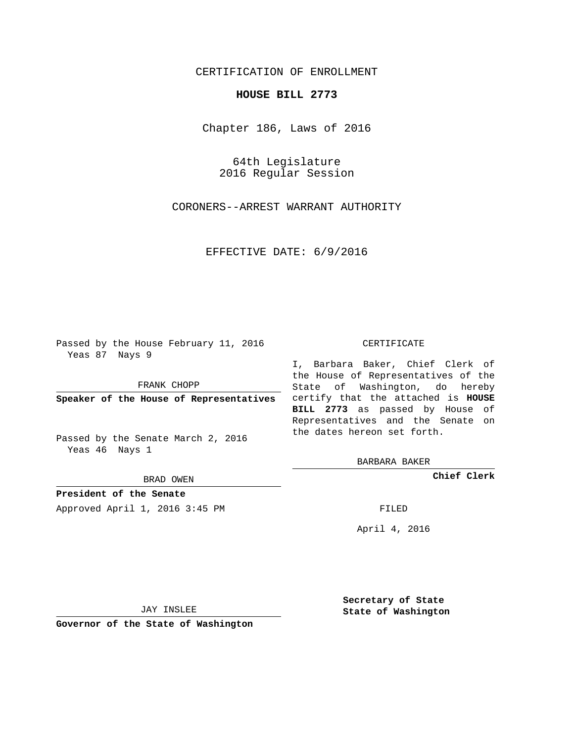## CERTIFICATION OF ENROLLMENT

## **HOUSE BILL 2773**

Chapter 186, Laws of 2016

64th Legislature 2016 Regular Session

CORONERS--ARREST WARRANT AUTHORITY

EFFECTIVE DATE: 6/9/2016

Passed by the House February 11, 2016 Yeas 87 Nays 9

FRANK CHOPP

Passed by the Senate March 2, 2016 Yeas 46 Nays 1

BRAD OWEN

**President of the Senate**

Approved April 1, 2016 3:45 PM FILED

## CERTIFICATE

**Speaker of the House of Representatives** certify that the attached is **HOUSE** I, Barbara Baker, Chief Clerk of the House of Representatives of the State of Washington, do hereby **BILL 2773** as passed by House of Representatives and the Senate on the dates hereon set forth.

BARBARA BAKER

**Chief Clerk**

April 4, 2016

JAY INSLEE

**Governor of the State of Washington**

**Secretary of State State of Washington**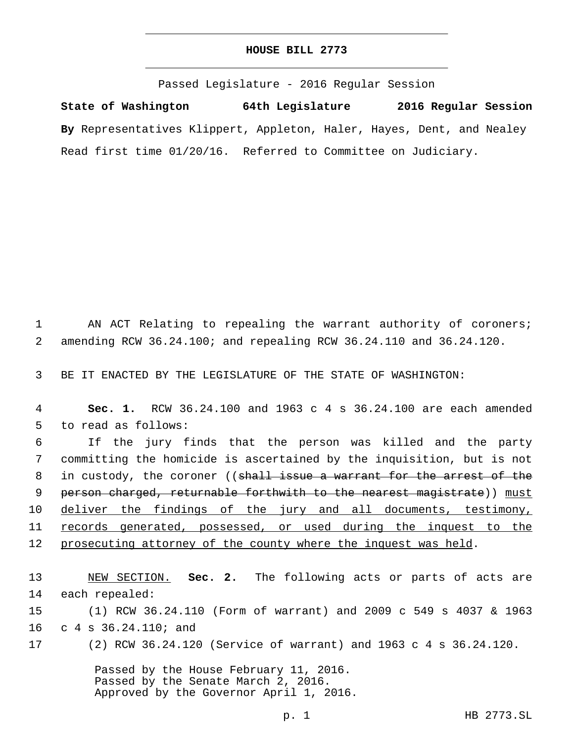## **HOUSE BILL 2773**

Passed Legislature - 2016 Regular Session

**State of Washington 64th Legislature 2016 Regular Session By** Representatives Klippert, Appleton, Haler, Hayes, Dent, and Nealey Read first time 01/20/16. Referred to Committee on Judiciary.

1 AN ACT Relating to repealing the warrant authority of coroners; 2 amending RCW 36.24.100; and repealing RCW 36.24.110 and 36.24.120.

3 BE IT ENACTED BY THE LEGISLATURE OF THE STATE OF WASHINGTON:

4 **Sec. 1.** RCW 36.24.100 and 1963 c 4 s 36.24.100 are each amended 5 to read as follows:

6 If the jury finds that the person was killed and the party 7 committing the homicide is ascertained by the inquisition, but is not 8 in custody, the coroner ((<del>shall issue a warrant for the arrest of the</del> 9 person charged, returnable forthwith to the nearest magistrate)) must 10 deliver the findings of the jury and all documents, testimony, 11 records generated, possessed, or used during the inquest to the 12 prosecuting attorney of the county where the inquest was held.

13 NEW SECTION. **Sec. 2.** The following acts or parts of acts are 14 each repealed: 15 (1) RCW 36.24.110 (Form of warrant) and 2009 c 549 s 4037 & 1963

16 c 4 s 36.24.110; and

17 (2) RCW 36.24.120 (Service of warrant) and 1963 c 4 s 36.24.120.

Passed by the House February 11, 2016. Passed by the Senate March 2, 2016. Approved by the Governor April 1, 2016.